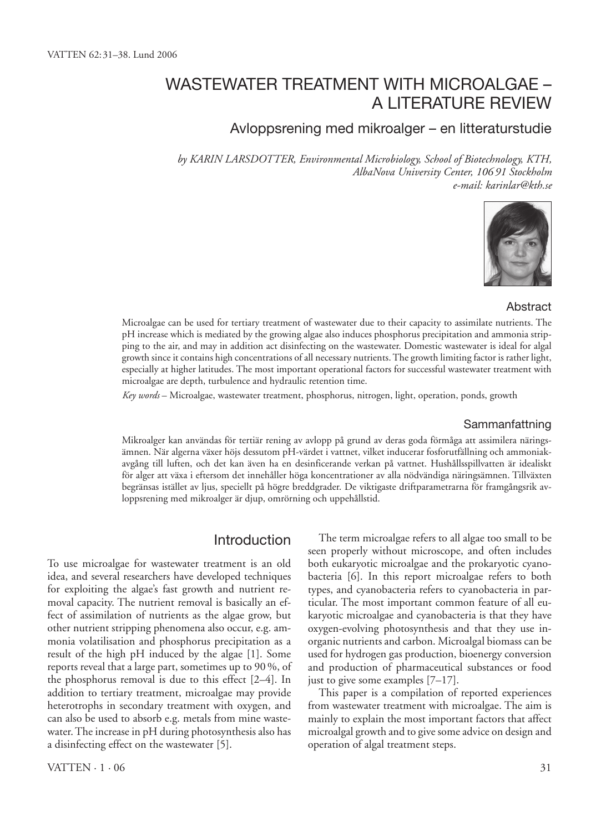# Wastewater treatment with microalgae – a literature review

## Avloppsrening med mikroalger – en litteraturstudie

*by Karin Larsdotter, Environmental Microbiology, School of Biotechnology, KTH, AlbaNova University Center, 106 91 Stockholm e-mail: karinlar@kth.se*



#### Abstract

Microalgae can be used for tertiary treatment of wastewater due to their capacity to assimilate nutrients. The pH increase which is mediated by the growing algae also induces phosphorus precipitation and ammonia stripping to the air, and may in addition act disinfecting on the wastewater. Domestic wastewater is ideal for algal growth since it contains high concentrations of all necessary nutrients. The growth limiting factor is rather light, especially at higher latitudes. The most important operational factors for successful wastewater treatment with microalgae are depth, turbulence and hydraulic retention time.

*Key words* – Microalgae, wastewater treatment, phosphorus, nitrogen, light, operation, ponds, growth

#### Sammanfattning

Mikroalger kan användas för tertiär rening av avlopp på grund av deras goda förmåga att assimilera näringsämnen. När algerna växer höjs dessutom pH-värdet i vattnet, vilket inducerar fosforutfällning och ammoniakavgång till luften, och det kan även ha en desinficerande verkan på vattnet. Hushållsspillvatten är idealiskt för alger att växa i eftersom det innehåller höga koncentrationer av alla nödvändiga näringsämnen. Tillväxten begränsas istället av ljus, speciellt på högre breddgrader. De viktigaste driftparametrarna för framgångsrik avloppsrening med mikroalger är djup, omrörning och uppehållstid.

## Introduction

To use microalgae for wastewater treatment is an old idea, and several researchers have developed techniques for exploiting the algae's fast growth and nutrient removal capacity. The nutrient removal is basically an effect of assimilation of nutrients as the algae grow, but other nutrient stripping phenomena also occur, e.g. ammonia volatilisation and phosphorus precipitation as a result of the high pH induced by the algae [1]. Some reports reveal that a large part, sometimes up to 90 %, of the phosphorus removal is due to this effect [2–4]. In addition to tertiary treatment, microalgae may provide heterotrophs in secondary treatment with oxygen, and can also be used to absorb e.g. metals from mine wastewater. The increase in pH during photosynthesis also has a disinfecting effect on the wastewater [5].

The term microalgae refers to all algae too small to be seen properly without microscope, and often includes both eukaryotic microalgae and the prokaryotic cyanobacteria [6]. In this report microalgae refers to both types, and cyanobacteria refers to cyanobacteria in particular. The most important common feature of all eukaryotic microalgae and cyanobacteria is that they have oxygen-evolving photosynthesis and that they use inorganic nutrients and carbon. Microalgal biomass can be used for hydrogen gas production, bioenergy conversion and production of pharmaceutical substances or food just to give some examples [7–17].

This paper is a compilation of reported experiences from wastewater treatment with microalgae. The aim is mainly to explain the most important factors that affect microalgal growth and to give some advice on design and operation of algal treatment steps.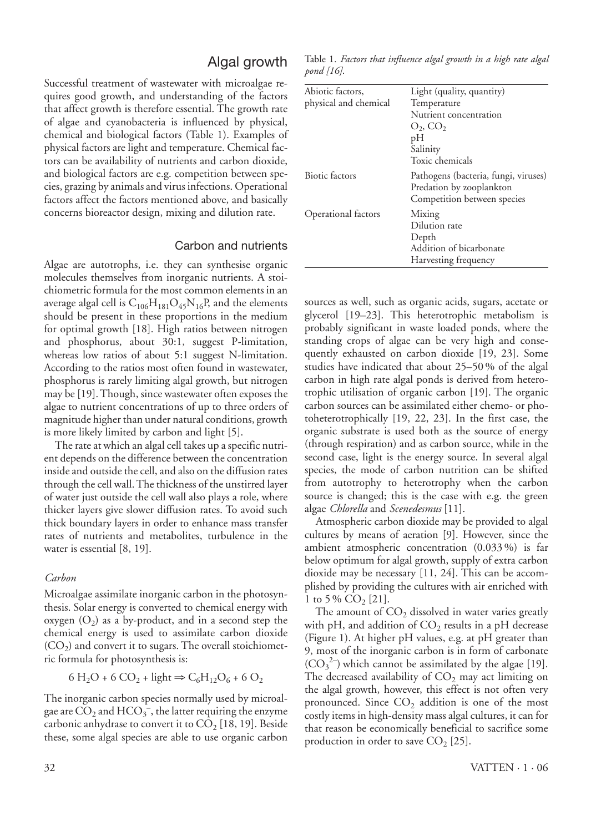## Algal growth

Successful treatment of wastewater with microalgae requires good growth, and understanding of the factors that affect growth is therefore essential. The growth rate of algae and cyanobacteria is influenced by physical, chemical and biological factors (Table 1). Examples of physical factors are light and temperature. Chemical factors can be availability of nutrients and carbon dioxide, and biological factors are e.g. competition between species, grazing by animals and virus infections. Operational factors affect the factors mentioned above, and basically concerns bioreactor design, mixing and dilution rate.

### Carbon and nutrients

Algae are autotrophs, i.e. they can synthesise organic molecules themselves from inorganic nutrients. A stoichiometric formula for the most common elements in an average algal cell is  $C_{106}H_{181}O_{45}N_{16}P$ , and the elements should be present in these proportions in the medium for optimal growth [18]. High ratios between nitrogen and phosphorus, about 30:1, suggest P-limitation, whereas low ratios of about 5:1 suggest N-limitation. According to the ratios most often found in wastewater, phosphorus is rarely limiting algal growth, but nitrogen may be [19]. Though, since wastewater often exposes the algae to nutrient concentrations of up to three orders of magnitude higher than under natural conditions, growth is more likely limited by carbon and light [5].

The rate at which an algal cell takes up a specific nutrient depends on the difference between the concentration inside and outside the cell, and also on the diffusion rates through the cell wall. The thickness of the unstirred layer of water just outside the cell wall also plays a role, where thicker layers give slower diffusion rates. To avoid such thick boundary layers in order to enhance mass transfer rates of nutrients and metabolites, turbulence in the water is essential [8, 19].

#### *Carbon*

Microalgae assimilate inorganic carbon in the photosynthesis. Solar energy is converted to chemical energy with oxygen  $(O_2)$  as a by-product, and in a second step the chemical energy is used to assimilate carbon dioxide  $(CO<sub>2</sub>)$  and convert it to sugars. The overall stoichiometric formula for photosynthesis is:

$$
6 H2O + 6 CO2 + light \Rightarrow C6H12O6 + 6 O2
$$

The inorganic carbon species normally used by microalgae are  $\overline{\text{CO}}_2$  and  $\text{HCO}_3^-$ , the latter requiring the enzyme carbonic anhydrase to convert it to  $CO<sub>2</sub>$  [18, 19]. Beside these, some algal species are able to use organic carbon

Table 1. *Factors that influence algal growth in a high rate algal pond [16]*.

| Abiotic factors,      | Light (quality, quantity)            |
|-----------------------|--------------------------------------|
| physical and chemical | Temperature                          |
|                       | Nutrient concentration               |
|                       | $O_2$ , $CO_2$                       |
|                       | pН                                   |
|                       | Salinity                             |
|                       | Toxic chemicals                      |
| Biotic factors        | Pathogens (bacteria, fungi, viruses) |
|                       | Predation by zooplankton             |
|                       | Competition between species          |
| Operational factors   | Mixing                               |
|                       | Dilution rate                        |
|                       | Depth                                |
|                       | Addition of bicarbonate              |
|                       | Harvesting frequency                 |

sources as well, such as organic acids, sugars, acetate or glycerol [19–23]. This heterotrophic metabolism is probably significant in waste loaded ponds, where the standing crops of algae can be very high and consequently exhausted on carbon dioxide [19, 23]. Some studies have indicated that about 25–50 % of the algal carbon in high rate algal ponds is derived from heterotrophic utilisation of organic carbon [19]. The organic carbon sources can be assimilated either chemo- or photoheterotrophically [19, 22, 23]. In the first case, the organic substrate is used both as the source of energy (through respiration) and as carbon source, while in the second case, light is the energy source. In several algal species, the mode of carbon nutrition can be shifted from autotrophy to heterotrophy when the carbon source is changed; this is the case with e.g. the green algae *Chlorella* and *Scenedesmus* [11].

Atmospheric carbon dioxide may be provided to algal cultures by means of aeration [9]. However, since the ambient atmospheric concentration (0.033 %) is far below optimum for algal growth, supply of extra carbon dioxide may be necessary [11, 24]. This can be accomplished by providing the cultures with air enriched with 1 to 5 %  $CO<sub>2</sub>$  [21].

The amount of  $CO<sub>2</sub>$  dissolved in water varies greatly with pH, and addition of  $CO<sub>2</sub>$  results in a pH decrease (Figure 1). At higher pH values, e.g. at pH greater than 9, most of the inorganic carbon is in form of carbonate  $(CO_3^2)$  which cannot be assimilated by the algae [19]. The decreased availability of  $CO<sub>2</sub>$  may act limiting on the algal growth, however, this effect is not often very pronounced. Since  $CO<sub>2</sub>$  addition is one of the most costly items in high-density mass algal cultures, it can for that reason be economically beneficial to sacrifice some production in order to save  $CO<sub>2</sub>$  [25].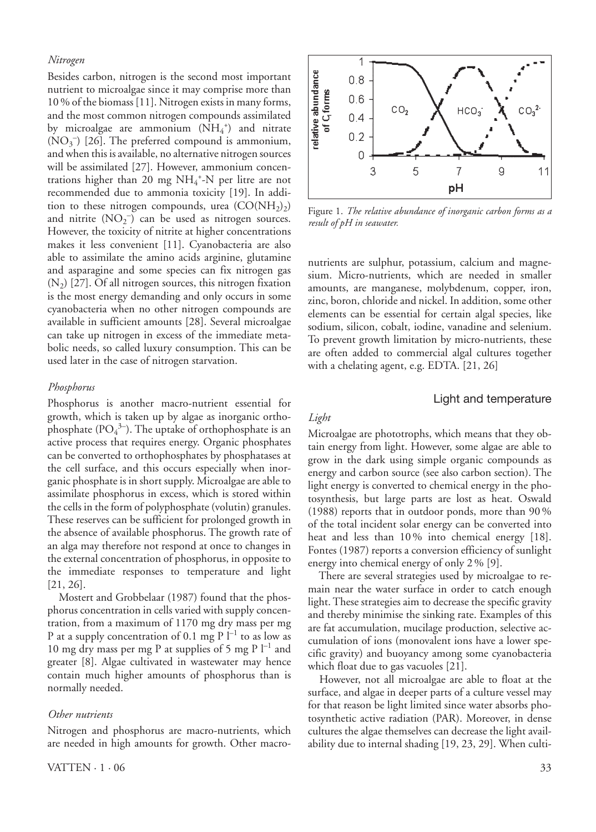#### *Nitrogen*

Besides carbon, nitrogen is the second most important nutrient to microalgae since it may comprise more than 10 % of the biomass [11]. Nitrogen exists in many forms, and the most common nitrogen compounds assimilated by microalgae are ammonium  $(NH_4^+)$  and nitrate  $(NO<sub>3</sub><sup>-</sup>)$  [26]. The preferred compound is ammonium, and when this is available, no alternative nitrogen sources will be assimilated [27]. However, ammonium concentrations higher than 20 mg NH<sub>4</sub><sup>+</sup>-N per litre are not recommended due to ammonia toxicity [19]. In addition to these nitrogen compounds, urea  $(CO(NH<sub>2</sub>))$ and nitrite  $(NO<sub>2</sub><sup>-</sup>)$  can be used as nitrogen sources. However, the toxicity of nitrite at higher concentrations makes it less convenient [11]. Cyanobacteria are also able to assimilate the amino acids arginine, glutamine and asparagine and some species can fix nitrogen gas  $(N_2)$  [27]. Of all nitrogen sources, this nitrogen fixation is the most energy demanding and only occurs in some cyanobacteria when no other nitrogen compounds are available in sufficient amounts [28]. Several microalgae can take up nitrogen in excess of the immediate metabolic needs, so called luxury consumption. This can be used later in the case of nitrogen starvation.

#### *Phosphorus*

Phosphorus is another macro-nutrient essential for growth, which is taken up by algae as inorganic orthophosphate  $(PO<sub>4</sub><sup>3-</sup>)$ . The uptake of orthophosphate is an active process that requires energy. Organic phosphates can be converted to orthophosphates by phosphatases at the cell surface, and this occurs especially when inorganic phosphate is in short supply. Microalgae are able to assimilate phosphorus in excess, which is stored within the cells in the form of polyphosphate (volutin) granules. These reserves can be sufficient for prolonged growth in the absence of available phosphorus. The growth rate of an alga may therefore not respond at once to changes in the external concentration of phosphorus, in opposite to the immediate responses to temperature and light [21, 26].

Mostert and Grobbelaar (1987) found that the phosphorus concentration in cells varied with supply concentration, from a maximum of 1170 mg dry mass per mg P at a supply concentration of 0.1 mg  $P l^{-1}$  to as low as 10 mg dry mass per mg P at supplies of 5 mg P  $l^{-1}$  and greater [8]. Algae cultivated in wastewater may hence contain much higher amounts of phosphorus than is normally needed.

#### *Other nutrients*

Nitrogen and phosphorus are macro-nutrients, which are needed in high amounts for growth. Other macro-



Figure 1. *The relative abundance of inorganic carbon forms as a result of pH in seawater.*

nutrients are sulphur, potassium, calcium and magnesium. Micro-nutrients, which are needed in smaller amounts, are manganese, molybdenum, copper, iron, zinc, boron, chloride and nickel. In addition, some other elements can be essential for certain algal species, like sodium, silicon, cobalt, iodine, vanadine and selenium. To prevent growth limitation by micro-nutrients, these are often added to commercial algal cultures together with a chelating agent, e.g. EDTA. [21, 26]

#### Light and temperature

## *Light*

Microalgae are phototrophs, which means that they obtain energy from light. However, some algae are able to grow in the dark using simple organic compounds as energy and carbon source (see also carbon section). The light energy is converted to chemical energy in the photosynthesis, but large parts are lost as heat. Oswald (1988) reports that in outdoor ponds, more than 90 % of the total incident solar energy can be converted into heat and less than 10 % into chemical energy [18]. Fontes (1987) reports a conversion efficiency of sunlight energy into chemical energy of only 2 % [9].

There are several strategies used by microalgae to remain near the water surface in order to catch enough light. These strategies aim to decrease the specific gravity and thereby minimise the sinking rate. Examples of this are fat accumulation, mucilage production, selective accumulation of ions (monovalent ions have a lower specific gravity) and buoyancy among some cyanobacteria which float due to gas vacuoles [21].

However, not all microalgae are able to float at the surface, and algae in deeper parts of a culture vessel may for that reason be light limited since water absorbs photosynthetic active radiation (PAR). Moreover, in dense cultures the algae themselves can decrease the light availability due to internal shading [19, 23, 29]. When culti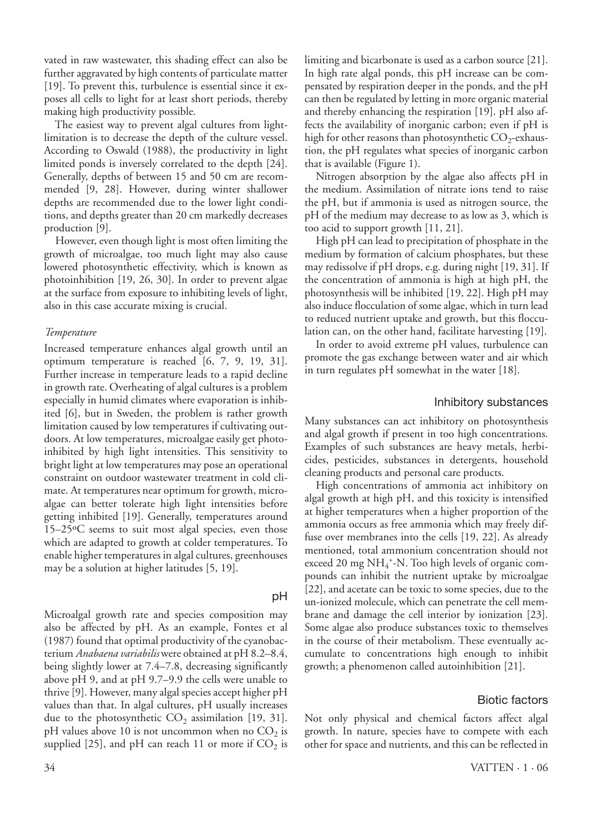vated in raw wastewater, this shading effect can also be further aggravated by high contents of particulate matter [19]. To prevent this, turbulence is essential since it exposes all cells to light for at least short periods, thereby making high productivity possible.

The easiest way to prevent algal cultures from lightlimitation is to decrease the depth of the culture vessel. According to Oswald (1988), the productivity in light limited ponds is inversely correlated to the depth [24]. Generally, depths of between 15 and 50 cm are recommended [9, 28]. However, during winter shallower depths are recommended due to the lower light conditions, and depths greater than 20 cm markedly decreases production [9].

However, even though light is most often limiting the growth of microalgae, too much light may also cause lowered photosynthetic effectivity, which is known as photoinhibition [19, 26, 30]. In order to prevent algae at the surface from exposure to inhibiting levels of light, also in this case accurate mixing is crucial.

#### *Temperature*

Increased temperature enhances algal growth until an optimum temperature is reached [6, 7, 9, 19, 31]. Further increase in temperature leads to a rapid decline in growth rate. Overheating of algal cultures is a problem especially in humid climates where evaporation is inhibited [6], but in Sweden, the problem is rather growth limitation caused by low temperatures if cultivating outdoors. At low temperatures, microalgae easily get photoinhibited by high light intensities. This sensitivity to bright light at low temperatures may pose an operational constraint on outdoor wastewater treatment in cold climate. At temperatures near optimum for growth, microalgae can better tolerate high light intensities before getting inhibited [19]. Generally, temperatures around 15–25ºC seems to suit most algal species, even those which are adapted to growth at colder temperatures. To enable higher temperatures in algal cultures, greenhouses may be a solution at higher latitudes [5, 19].

#### pH

Microalgal growth rate and species composition may also be affected by pH. As an example, Fontes et al (1987) found that optimal productivity of the cyanobacterium *Anabaena variabilis* were obtained at pH 8.2–8.4, being slightly lower at 7.4–7.8, decreasing significantly above pH 9, and at pH 9.7–9.9 the cells were unable to thrive [9]. However, many algal species accept higher pH values than that. In algal cultures, pH usually increases due to the photosynthetic  $CO<sub>2</sub>$  assimilation [19, 31]. pH values above 10 is not uncommon when no  $CO<sub>2</sub>$  is supplied [25], and pH can reach 11 or more if  $CO<sub>2</sub>$  is

limiting and bicarbonate is used as a carbon source [21]. In high rate algal ponds, this pH increase can be compensated by respiration deeper in the ponds, and the pH can then be regulated by letting in more organic material and thereby enhancing the respiration [19]. pH also affects the availability of inorganic carbon; even if pH is high for other reasons than photosynthetic  $CO_2$ -exhaustion, the pH regulates what species of inorganic carbon that is available (Figure 1).

Nitrogen absorption by the algae also affects pH in the medium. Assimilation of nitrate ions tend to raise the pH, but if ammonia is used as nitrogen source, the pH of the medium may decrease to as low as 3, which is too acid to support growth [11, 21].

High pH can lead to precipitation of phosphate in the medium by formation of calcium phosphates, but these may redissolve if pH drops, e.g. during night [19, 31]. If the concentration of ammonia is high at high pH, the photosynthesis will be inhibited [19, 22]. High pH may also induce flocculation of some algae, which in turn lead to reduced nutrient uptake and growth, but this flocculation can, on the other hand, facilitate harvesting [19].

In order to avoid extreme pH values, turbulence can promote the gas exchange between water and air which in turn regulates pH somewhat in the water [18].

## Inhibitory substances

Many substances can act inhibitory on photosynthesis and algal growth if present in too high concentrations. Examples of such substances are heavy metals, herbicides, pesticides, substances in detergents, household cleaning products and personal care products.

High concentrations of ammonia act inhibitory on algal growth at high pH, and this toxicity is intensified at higher temperatures when a higher proportion of the ammonia occurs as free ammonia which may freely diffuse over membranes into the cells [19, 22]. As already mentioned, total ammonium concentration should not exceed 20 mg NH<sub>4</sub><sup>+</sup>-N. Too high levels of organic compounds can inhibit the nutrient uptake by microalgae [22], and acetate can be toxic to some species, due to the un-ionized molecule, which can penetrate the cell membrane and damage the cell interior by ionization [23]. Some algae also produce substances toxic to themselves in the course of their metabolism. These eventually accumulate to concentrations high enough to inhibit growth; a phenomenon called autoinhibition [21].

### Biotic factors

Not only physical and chemical factors affect algal growth. In nature, species have to compete with each other for space and nutrients, and this can be reflected in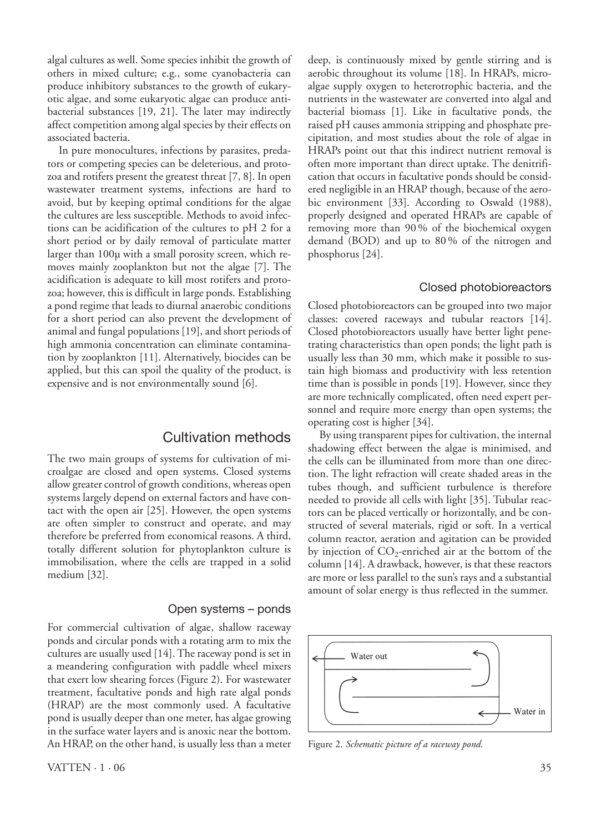algal cultures as well. Some species inhibit the growth of others in mixed culture; e.g., some cyanobacteria can produce inhibitory substances to the growth of eukaryotic algae, and some eukaryotic algae can produce antibacterial substances [19, 21]. The later may indirectly affect competition among algal species by their effects on associated bacteria.

In pure monocultures, infections by parasites, predators or competing species can be deleterious, and protozoa and rotifers present the greatest threat [7, 8]. In open wastewater treatment systems, infections are hard to avoid, but by keeping optimal conditions for the algae the cultures are less susceptible. Methods to avoid infections can be acidification of the cultures to pH 2 for a short period or by daily removal of particulate matter larger than 100µ with a small porosity screen, which removes mainly zooplankton but not the algae [7]. The acidification is adequate to kill most rotifers and protozoa; however, this is difficult in large ponds. Establishing a pond regime that leads to diurnal anaerobic conditions for a short period can also prevent the development of animal and fungal populations [19], and short periods of high ammonia concentration can eliminate contamination by zooplankton [11]. Alternatively, biocides can be applied, but this can spoil the quality of the product, is expensive and is not environmentally sound [6].

## Cultivation methods

The two main groups of systems for cultivation of microalgae are closed and open systems. Closed systems allow greater control of growth conditions, whereas open systems largely depend on external factors and have contact with the open air [25]. However, the open systems are often simpler to construct and operate, and may therefore be preferred from economical reasons. A third, totally different solution for phytoplankton culture is immobilisation, where the cells are trapped in a solid medium [32].

## Open systems – ponds

For commercial cultivation of algae, shallow raceway ponds and circular ponds with a rotating arm to mix the cultures are usually used [14]. The raceway pond is set in a meandering configuration with paddle wheel mixers that exert low shearing forces (Figure 2). For wastewater treatment, facultative ponds and high rate algal ponds (HRAP) are the most commonly used. A facultative pond is usually deeper than one meter, has algae growing in the surface water layers and is anoxic near the bottom. An HRAP, on the other hand, is usually less than a meter

deep, is continuously mixed by gentle stirring and is aerobic throughout its volume [18]. In HRAPs, microalgae supply oxygen to heterotrophic bacteria, and the nutrients in the wastewater are converted into algal and bacterial biomass [1]. Like in facultative ponds, the raised pH causes ammonia stripping and phosphate precipitation, and most studies about the role of algae in HRAPs point out that this indirect nutrient removal is often more important than direct uptake. The denitrification that occurs in facultative ponds should be considered negligible in an HRAP though, because of the aerobic environment [33]. According to Oswald (1988), properly designed and operated HRAPs are capable of removing more than 90 % of the biochemical oxygen demand (BOD) and up to 80 % of the nitrogen and phosphorus [24].

## Closed photobioreactors

Closed photobioreactors can be grouped into two major classes: covered raceways and tubular reactors [14]. Closed photobioreactors usually have better light penetrating characteristics than open ponds; the light path is usually less than 30 mm, which make it possible to sustain high biomass and productivity with less retention time than is possible in ponds [19]. However, since they are more technically complicated, often need expert personnel and require more energy than open systems; the operating cost is higher [34].

By using transparent pipes for cultivation, the internal shadowing effect between the algae is minimised, and the cells can be illuminated from more than one direction. The light refraction will create shaded areas in the tubes though, and sufficient turbulence is therefore needed to provide all cells with light [35]. Tubular reactors can be placed vertically or horizontally, and be constructed of several materials, rigid or soft. In a vertical column reactor, aeration and agitation can be provided by injection of  $CO_2$ -enriched air at the bottom of the column [14]. A drawback, however, is that these reactors are more or less parallel to the sun's rays and a substantial amount of solar energy is thus reflected in the summer.



Figure 2. *Schematic picture of a raceway pond.*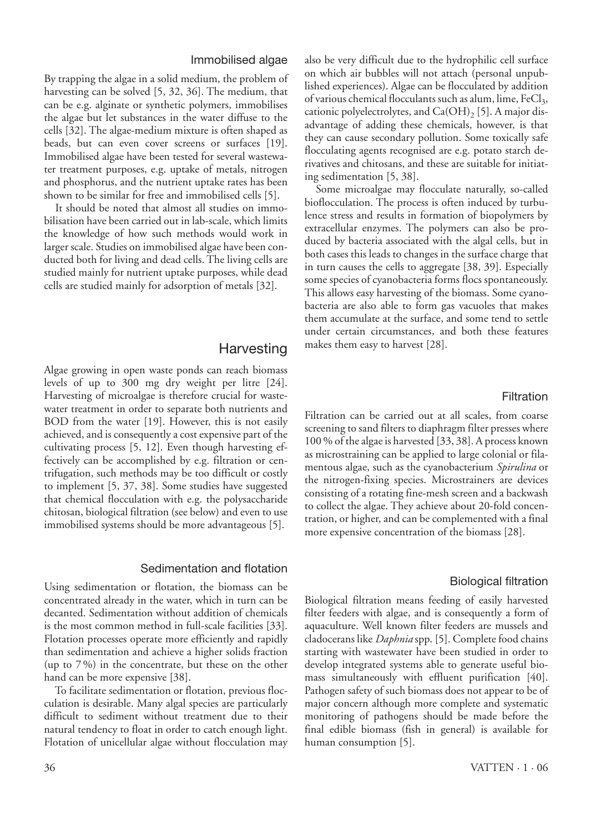### Immobilised algae

By trapping the algae in a solid medium, the problem of harvesting can be solved [5, 32, 36]. The medium, that can be e.g. alginate or synthetic polymers, immobilises the algae but let substances in the water diffuse to the cells [32]. The algae-medium mixture is often shaped as beads, but can even cover screens or surfaces [19]. Immobilised algae have been tested for several wastewater treatment purposes, e.g. uptake of metals, nitrogen and phosphorus, and the nutrient uptake rates has been shown to be similar for free and immobilised cells [5].

It should be noted that almost all studies on immobilisation have been carried out in lab-scale, which limits the knowledge of how such methods would work in larger scale. Studies on immobilised algae have been conducted both for living and dead cells. The living cells are studied mainly for nutrient uptake purposes, while dead cells are studied mainly for adsorption of metals [32].

## **Harvesting**

Algae growing in open waste ponds can reach biomass levels of up to 300 mg dry weight per litre [24]. Harvesting of microalgae is therefore crucial for wastewater treatment in order to separate both nutrients and BOD from the water [19]. However, this is not easily achieved, and is consequently a cost expensive part of the cultivating process [5, 12]. Even though harvesting effectively can be accomplished by e.g. filtration or centrifugation, such methods may be too difficult or costly to implement [5, 37, 38]. Some studies have suggested that chemical flocculation with e.g. the polysaccharide chitosan, biological filtration (see below) and even to use immobilised systems should be more advantageous [5].

#### Sedimentation and flotation

Using sedimentation or flotation, the biomass can be concentrated already in the water, which in turn can be decanted. Sedimentation without addition of chemicals is the most common method in full-scale facilities [33]. Flotation processes operate more efficiently and rapidly than sedimentation and achieve a higher solids fraction (up to 7 %) in the concentrate, but these on the other hand can be more expensive [38].

To facilitate sedimentation or flotation, previous flocculation is desirable. Many algal species are particularly difficult to sediment without treatment due to their natural tendency to float in order to catch enough light. Flotation of unicellular algae without flocculation may also be very difficult due to the hydrophilic cell surface on which air bubbles will not attach (personal unpublished experiences). Algae can be flocculated by addition of various chemical flocculants such as alum, lime, FeCl<sub>3</sub>, cationic polyelectrolytes, and  $Ca(OH)$ <sub>2</sub> [5]. A major disadvantage of adding these chemicals, however, is that they can cause secondary pollution. Some toxically safe flocculating agents recognised are e.g. potato starch derivatives and chitosans, and these are suitable for initiating sedimentation [5, 38].

Some microalgae may flocculate naturally, so-called bioflocculation. The process is often induced by turbulence stress and results in formation of biopolymers by extracellular enzymes. The polymers can also be produced by bacteria associated with the algal cells, but in both cases this leads to changes in the surface charge that in turn causes the cells to aggregate [38, 39]. Especially some species of cyanobacteria forms flocs spontaneously. This allows easy harvesting of the biomass. Some cyanobacteria are also able to form gas vacuoles that makes them accumulate at the surface, and some tend to settle under certain circumstances, and both these features makes them easy to harvest [28].

### Filtration

Filtration can be carried out at all scales, from coarse screening to sand filters to diaphragm filter presses where 100 % of the algae is harvested [33, 38]. A process known as microstraining can be applied to large colonial or filamentous algae, such as the cyanobacterium *Spirulina* or the nitrogen-fixing species. Microstrainers are devices consisting of a rotating fine-mesh screen and a backwash to collect the algae. They achieve about 20-fold concentration, or higher, and can be complemented with a final more expensive concentration of the biomass [28].

### Biological filtration

Biological filtration means feeding of easily harvested filter feeders with algae, and is consequently a form of aquaculture. Well known filter feeders are mussels and cladocerans like *Daphnia* spp. [5]. Complete food chains starting with wastewater have been studied in order to develop integrated systems able to generate useful biomass simultaneously with effluent purification [40]. Pathogen safety of such biomass does not appear to be of major concern although more complete and systematic monitoring of pathogens should be made before the final edible biomass (fish in general) is available for human consumption [5].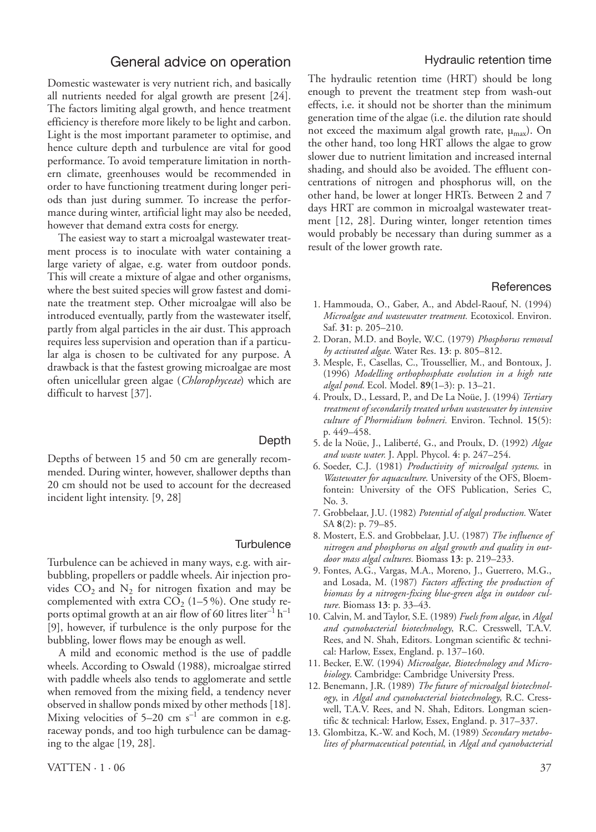## General advice on operation

Domestic wastewater is very nutrient rich, and basically all nutrients needed for algal growth are present [24]. The factors limiting algal growth, and hence treatment efficiency is therefore more likely to be light and carbon. Light is the most important parameter to optimise, and hence culture depth and turbulence are vital for good performance. To avoid temperature limitation in northern climate, greenhouses would be recommended in order to have functioning treatment during longer periods than just during summer. To increase the performance during winter, artificial light may also be needed, however that demand extra costs for energy.

The easiest way to start a microalgal wastewater treatment process is to inoculate with water containing a large variety of algae, e.g. water from outdoor ponds. This will create a mixture of algae and other organisms, where the best suited species will grow fastest and dominate the treatment step. Other microalgae will also be introduced eventually, partly from the wastewater itself, partly from algal particles in the air dust. This approach requires less supervision and operation than if a particular alga is chosen to be cultivated for any purpose. A drawback is that the fastest growing microalgae are most often unicellular green algae (*Chlorophyceae*) which are difficult to harvest [37].

Depths of between 15 and 50 cm are generally recommended. During winter, however, shallower depths than 20 cm should not be used to account for the decreased incident light intensity. [9, 28]

#### **Turbulence**

Depth

Turbulence can be achieved in many ways, e.g. with airbubbling, propellers or paddle wheels. Air injection provides  $CO_2$  and  $N_2$  for nitrogen fixation and may be complemented with extra  $CO_2$  (1–5 %). One study reports optimal growth at an air flow of 60 litres liter<sup>-1</sup>  $h^{-1}$ [9], however, if turbulence is the only purpose for the bubbling, lower flows may be enough as well.

A mild and economic method is the use of paddle wheels. According to Oswald (1988), microalgae stirred with paddle wheels also tends to agglomerate and settle when removed from the mixing field, a tendency never observed in shallow ponds mixed by other methods [18]. Mixing velocities of  $5-20$  cm s<sup>-1</sup> are common in e.g. raceway ponds, and too high turbulence can be damaging to the algae [19, 28].

## Hydraulic retention time

The hydraulic retention time (HRT) should be long enough to prevent the treatment step from wash-out effects, i.e. it should not be shorter than the minimum generation time of the algae (i.e. the dilution rate should not exceed the maximum algal growth rate,  $\mu_{\text{max}}$ ). On the other hand, too long HRT allows the algae to grow slower due to nutrient limitation and increased internal shading, and should also be avoided. The effluent concentrations of nitrogen and phosphorus will, on the other hand, be lower at longer HRTs. Between 2 and 7 days HRT are common in microalgal wastewater treatment [12, 28]. During winter, longer retention times would probably be necessary than during summer as a result of the lower growth rate.

#### **References**

- 1. Hammouda, O., Gaber, A., and Abdel-Raouf, N. (1994) *Microalgae and wastewater treatment.* Ecotoxicol. Environ. Saf. **31**: p. 205–210.
- 2. Doran, M.D. and Boyle, W.C. (1979) *Phosphorus removal by activated algae.* Water Res. **13**: p. 805–812.
- 3. Mesple, F., Casellas, C., Troussellier, M., and Bontoux, J. (1996) *Modelling orthophosphate evolution in a high rate algal pond.* Ecol. Model. **89**(1–3): p. 13–21.
- 4. Proulx, D., Lessard, P., and De La Noüe, J. (1994) *Tertiary treatment of secondarily treated urban wastewater by intensive culture of Phormidium bohneri.* Environ. Technol. **15**(5): p. 449–458.
- 5. de la Noüe, J., Laliberté, G., and Proulx, D. (1992) *Algae and waste water.* J. Appl. Phycol. **4**: p. 247–254.
- 6. Soeder, C.J. (1981) *Productivity of microalgal systems*. in *Wastewater for aquaculture*. University of the OFS, Bloemfontein: University of the OFS Publication, Series C, No. 3.
- 7. Grobbelaar, J.U. (1982) *Potential of algal production.* Water SA **8**(2): p. 79–85.
- 8. Mostert, E.S. and Grobbelaar, J.U. (1987) *The influence of nitrogen and phosphorus on algal growth and quality in outdoor mass algal cultures.* Biomass **13**: p. 219–233.
- 9. Fontes, A.G., Vargas, M.A., Moreno, J., Guerrero, M.G., and Losada, M. (1987) *Factors affecting the production of biomass by a nitrogen-fixing blue-green alga in outdoor culture.* Biomass **13**: p. 33–43.
- 10. Calvin, M. and Taylor, S.E. (1989) *Fuels from algae*, in *Algal and cyanobacterial biotechnology*, R.C. Cresswell, T.A.V. Rees, and N. Shah, Editors. Longman scientific & technical: Harlow, Essex, England. p. 137–160.
- 11. Becker, E.W. (1994) *Microalgae, Biotechnology and Microbiology*. Cambridge: Cambridge University Press.
- 12. Benemann, J.R. (1989) *The future of microalgal biotechnology*, in *Algal and cyanobacterial biotechnology*, R.C. Cresswell, T.A.V. Rees, and N. Shah, Editors. Longman scientific & technical: Harlow, Essex, England. p. 317–337.
- 13. Glombitza, K.-W. and Koch, M. (1989) *Secondary metabolites of pharmaceutical potential*, in *Algal and cyanobacterial*